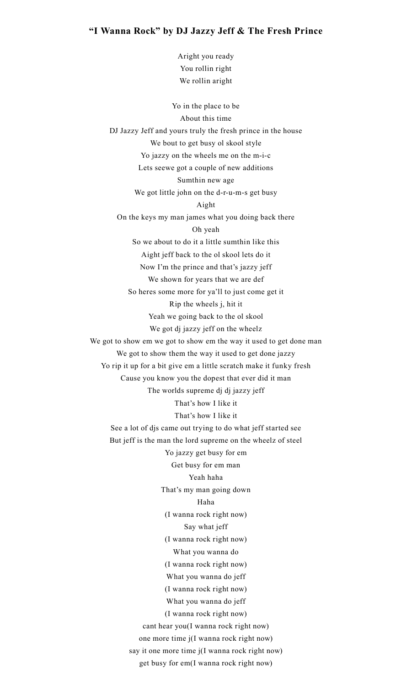## **"I Wanna Rock" by DJ Jazzy Jeff & The Fresh Prince**

Aright you ready You rollin right We rollin aright

Yo in the place to be About this time DJ Jazzy Jeff and yours truly the fresh prince in the house We bout to get busy ol skool style Yo jazzy on the wheels me on the m-i-c Lets seewe got a couple of new additions Sumthin new age We got little john on the d-r-u-m-s get busy Aight On the keys my man james what you doing back there Oh yeah So we about to do it a little sumthin like this Aight jeff back to the ol skool lets do it Now I'm the prince and that's jazzy jeff We shown for years that we are def So heres some more for ya'll to just come get it Rip the wheels j, hit it Yeah we going back to the ol skool We got dj jazzy jeff on the wheelz We got to show em we got to show em the way it used to get done man We got to show them the way it used to get done jazzy Yo rip it up for a bit give em a little scratch make it funky fresh Cause you know you the dopest that ever did it man The worlds supreme dj dj jazzy jeff That's how I like it That's how I like it See a lot of djs came out trying to do what jeff started see But jeff is the man the lord supreme on the wheelz of steel Yo jazzy get busy for em Get busy for em man Yeah haha That's my man going down Haha (I wanna rock right now) Say what jeff (I wanna rock right now) What you wanna do (I wanna rock right now) What you wanna do jeff (I wanna rock right now) What you wanna do jeff (I wanna rock right now) cant hear you(I wanna rock right now) one more time j(I wanna rock right now) say it one more time j(I wanna rock right now) get busy for em(I wanna rock right now)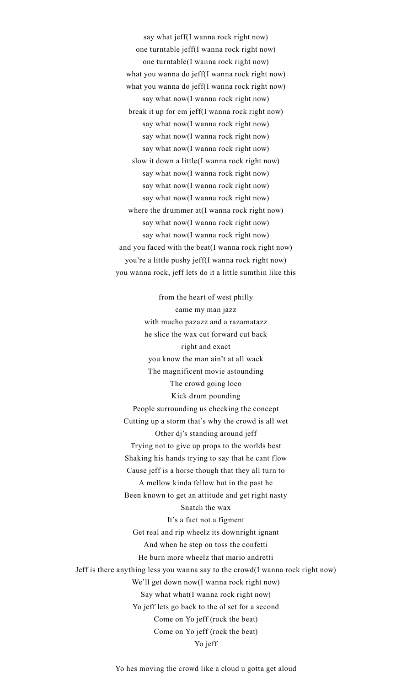say what jeff(I wanna rock right now) one turntable jeff(I wanna rock right now) one turntable(I wanna rock right now) what you wanna do jeff(I wanna rock right now) what you wanna do jeff(I wanna rock right now) say what now(I wanna rock right now) break it up for em jeff(I wanna rock right now) say what now(I wanna rock right now) say what now(I wanna rock right now) say what now(I wanna rock right now) slow it down a little(I wanna rock right now) say what now(I wanna rock right now) say what now(I wanna rock right now) say what now(I wanna rock right now) where the drummer at(I wanna rock right now) say what now(I wanna rock right now) say what now(I wanna rock right now) and you faced with the beat(I wanna rock right now) you're a little pushy jeff(I wanna rock right now) you wanna rock, jeff lets do it a little sumthin like this

from the heart of west philly came my man jazz with mucho pazazz and a razamatazz he slice the wax cut forward cut back right and exact you know the man ain't at all wack The magnificent movie astounding The crowd going loco Kick drum pounding People surrounding us checking the concept Cutting up a storm that's why the crowd is all wet Other dj's standing around jeff Trying not to give up props to the worlds best Shaking his hands trying to say that he cant flow Cause jeff is a horse though that they all turn to A mellow kinda fellow but in the past he Been known to get an attitude and get right nasty Snatch the wax It's a fact not a figment Get real and rip wheelz its downright ignant And when he step on toss the confetti He burn more wheelz that mario andretti Jeff is there anything less you wanna say to the crowd(I wanna rock right now) We'll get down now(I wanna rock right now) Say what what(I wanna rock right now) Yo jeff lets go back to the ol set for a second Come on Yo jeff (rock the beat) Come on Yo jeff (rock the beat) Yo jeff

Yo hes moving the crowd like a cloud u gotta get aloud